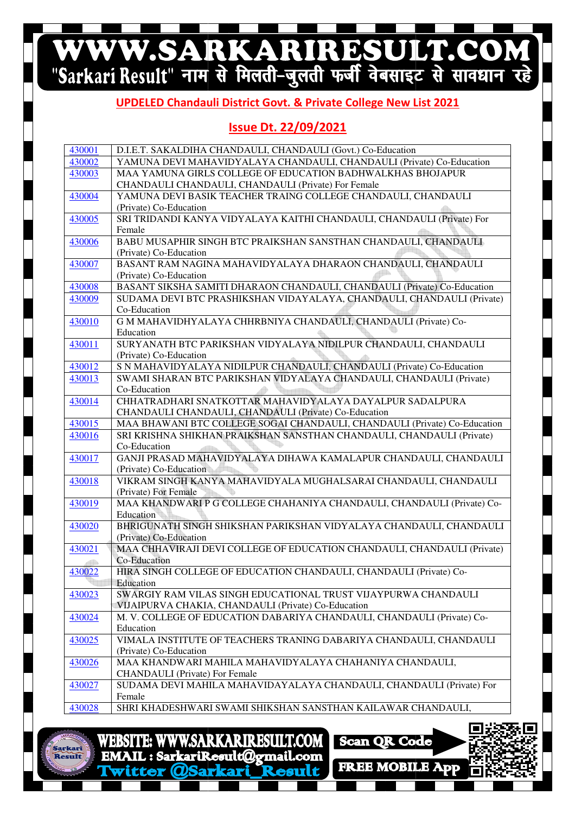# WWW.SARKARIRESULT.COM

#### **UPDELED Chandauli Chandauli District Govt. & Private College New List 2021**

### **Issue Dt. 22/09/2021**

| 430001 | D.I.E.T. SAKALDIHA CHANDAULI, CHANDAULI (Govt.) Co-Education                                      |
|--------|---------------------------------------------------------------------------------------------------|
| 430002 | YAMUNA DEVI MAHAVIDYALAYA CHANDAULI, CHANDAULI (Private) Co-Education                             |
| 430003 | MAA YAMUNA GIRLS COLLEGE OF EDUCATION BADHWALKHAS BHOJAPUR                                        |
|        | CHANDAULI CHANDAULI, CHANDAULI (Private) For Female                                               |
| 430004 | YAMUNA DEVI BASIK TEACHER TRAING COLLEGE CHANDAULI, CHANDAULI                                     |
|        | (Private) Co-Education                                                                            |
| 430005 | SRI TRIDANDI KANYA VIDYALAYA KAITHI CHANDAULI, CHANDAULI (Private) For                            |
|        | Female                                                                                            |
| 430006 | BABU MUSAPHIR SINGH BTC PRAIKSHAN SANSTHAN CHANDAULI, CHANDAULI                                   |
|        | (Private) Co-Education                                                                            |
| 430007 | BASANT RAM NAGINA MAHAVIDYALAYA DHARAON CHANDAULI, CHANDAULI                                      |
|        | (Private) Co-Education                                                                            |
| 430008 | BASANT SIKSHA SAMITI DHARAON CHANDAULI, CHANDAULI (Private) Co-Education                          |
| 430009 | SUDAMA DEVI BTC PRASHIKSHAN VIDAYALAYA, CHANDAULI, CHANDAULI (Private)                            |
|        | Co-Education                                                                                      |
| 430010 | G M MAHAVIDHYALAYA CHHRBNIYA CHANDAULI, CHANDAULI (Private) Co-                                   |
|        | Education<br>SURYANATH BTC PARIKSHAN VIDYALAYA NIDILPUR CHANDAULI, CHANDAULI                      |
| 430011 | (Private) Co-Education                                                                            |
| 430012 | S N MAHAVIDYALAYA NIDILPUR CHANDAULI, CHANDAULI (Private) Co-Education                            |
| 430013 | SWAMI SHARAN BTC PARIKSHAN VIDYALAYA CHANDAULI, CHANDAULI (Private)                               |
|        | Co-Education                                                                                      |
| 430014 | CHHATRADHARI SNATKOTTAR MAHAVIDYALAYA DAYALPUR SADALPURA                                          |
|        | CHANDAULI CHANDAULI, CHANDAULI (Private) Co-Education                                             |
| 430015 | MAA BHAWANI BTC COLLEGE SOGAI CHANDAULI, CHANDAULI (Private) Co-Education                         |
| 430016 | SRI KRISHNA SHIKHAN PRAIKSHAN SANSTHAN CHANDAULI, CHANDAULI (Private)                             |
|        | Co-Education                                                                                      |
| 430017 | GANJI PRASAD MAHAVIDYALAYA DIHAWA KAMALAPUR CHANDAULI, CHANDAULI                                  |
|        | (Private) Co-Education                                                                            |
| 430018 | VIKRAM SINGH KANYA MAHAVIDYALA MUGHALSARAI CHANDAULI, CHANDAULI                                   |
|        | (Private) For Female                                                                              |
| 430019 | MAA KHANDWARI P G COLLEGE CHAHANIYA CHANDAULI, CHANDAULI (Private) Co-                            |
|        | Education                                                                                         |
| 430020 | BHRIGUNATH SINGH SHIKSHAN PARIKSHAN VIDYALAYA CHANDAULI, CHANDAULI                                |
|        | (Private) Co-Education<br>MAA CHHAVIRAJI DEVI COLLEGE OF EDUCATION CHANDAULI, CHANDAULI (Private) |
| 430021 | Co-Education                                                                                      |
| 430022 | HIRA SINGH COLLEGE OF EDUCATION CHANDAULI, CHANDAULI (Private) Co-                                |
|        | Education                                                                                         |
| 430023 | SWARGIY RAM VILAS SINGH EDUCATIONAL TRUST VIJAYPURWA CHANDAULI                                    |
|        | VIJAIPURVA CHAKIA, CHANDAULI (Private) Co-Education                                               |
| 430024 | M. V. COLLEGE OF EDUCATION DABARIYA CHANDAULI, CHANDAULI (Private) Co-                            |
|        | Education                                                                                         |
| 430025 | VIMALA INSTITUTE OF TEACHERS TRANING DABARIYA CHANDAULI, CHANDAULI                                |
|        | (Private) Co-Education                                                                            |
| 430026 | MAA KHANDWARI MAHILA MAHAVIDYALAYA CHAHANIYA CHANDAULI,                                           |
|        | <b>CHANDAULI</b> (Private) For Female                                                             |
| 430027 | SUDAMA DEVI MAHILA MAHAVIDAYALAYA CHANDAULI, CHANDAULI (Private) For                              |
|        | Female                                                                                            |
| 430028 | SHRI KHADESHWARI SWAMI SHIKSHAN SANSTHAN KAILAWAR CHANDAULI,                                      |



**WEBSITE: WWW.SARKARIRESULT.COM** EMAIL: SarkariResult@gmail.com